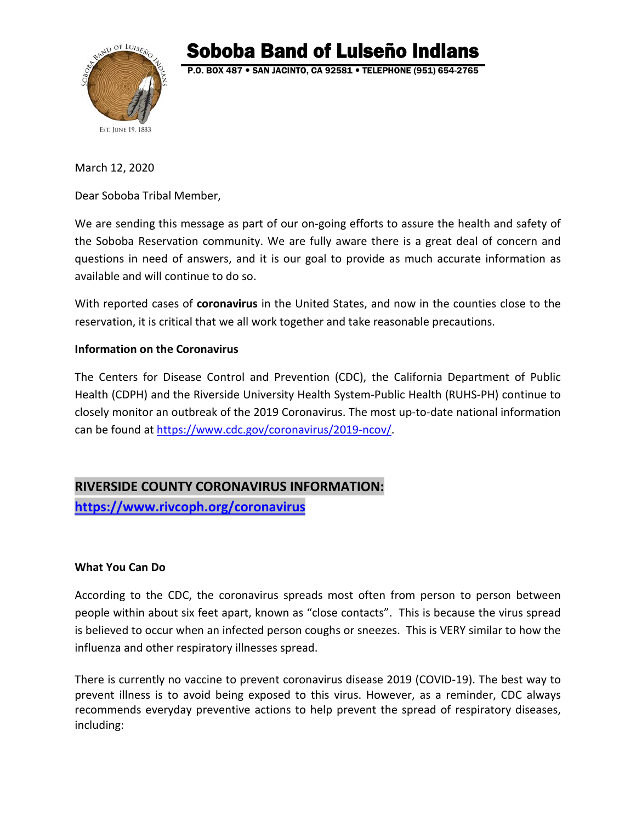

Soboba Band of Luiseño Indians<br>P.O. BOX 487 • SAN JACINTO, CA 92581 • TELEPHONE (951) 654-2765

March 12, 2020

Dear Soboba Tribal Member,

We are sending this message as part of our on-going efforts to assure the health and safety of the Soboba Reservation community. We are fully aware there is a great deal of concern and questions in need of answers, and it is our goal to provide as much accurate information as available and will continue to do so.

With reported cases of **coronavirus** in the United States, and now in the counties close to the reservation, it is critical that we all work together and take reasonable precautions.

#### **Information on the Coronavirus**

The Centers for Disease Control and Prevention (CDC), the California Department of Public Health (CDPH) and the Riverside University Health System-Public Health (RUHS-PH) continue to closely monitor an outbreak of the 2019 Coronavirus. The most up-to-date national information can be found at [https://www.cdc.gov/coronavirus/2019-ncov/.](https://www.cdc.gov/coronavirus/2019-ncov/)

# **RIVERSIDE COUNTY CORONAVIRUS INFORMATION:**

**<https://www.rivcoph.org/coronavirus>**

## **What You Can Do**

According to the CDC, the coronavirus spreads most often from person to person between people within about six feet apart, known as "close contacts". This is because the virus spread is believed to occur when an infected person coughs or sneezes. This is VERY similar to how the influenza and other respiratory illnesses spread.

There is currently no vaccine to prevent coronavirus disease 2019 (COVID-19). The best way to prevent illness is to avoid being exposed to this virus. However, as a reminder, CDC always recommends everyday preventive actions to help prevent the spread of respiratory diseases, including: